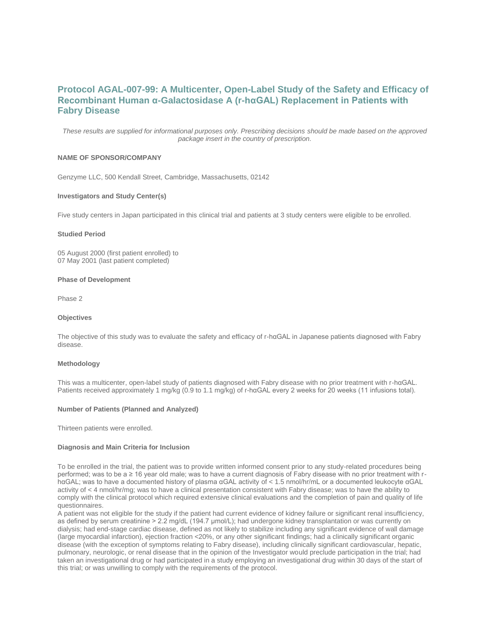# **Protocol AGAL-007-99: A Multicenter, Open-Label Study of the Safety and Efficacy of Recombinant Human α-Galactosidase A (r-hαGAL) Replacement in Patients with Fabry Disease**

*These results are supplied for informational purposes only. Prescribing decisions should be made based on the approved package insert in the country of prescription.*

# **NAME OF SPONSOR/COMPANY**

Genzyme LLC, 500 Kendall Street, Cambridge, Massachusetts, 02142

## **Investigators and Study Center(s)**

Five study centers in Japan participated in this clinical trial and patients at 3 study centers were eligible to be enrolled.

#### **Studied Period**

05 August 2000 (first patient enrolled) to 07 May 2001 (last patient completed)

#### **Phase of Development**

Phase 2

#### **Objectives**

The objective of this study was to evaluate the safety and efficacy of r-hαGAL in Japanese patients diagnosed with Fabry disease.

#### **Methodology**

This was a multicenter, open-label study of patients diagnosed with Fabry disease with no prior treatment with r-hαGAL. Patients received approximately 1 mg/kg (0.9 to 1.1 mg/kg) of r-hαGAL every 2 weeks for 20 weeks (11 infusions total).

## **Number of Patients (Planned and Analyzed)**

Thirteen patients were enrolled.

# **Diagnosis and Main Criteria for Inclusion**

To be enrolled in the trial, the patient was to provide written informed consent prior to any study-related procedures being performed; was to be a  $\geq$  16 year old male; was to have a current diagnosis of Fabry disease with no prior treatment with rhαGAL; was to have a documented history of plasma αGAL activity of < 1.5 nmol/hr/mL or a documented leukocyte αGAL activity of < 4 nmol/hr/mg; was to have a clinical presentation consistent with Fabry disease; was to have the ability to comply with the clinical protocol which required extensive clinical evaluations and the completion of pain and quality of life questionnaires.

A patient was not eligible for the study if the patient had current evidence of kidney failure or significant renal insufficiency, as defined by serum creatinine > 2.2 mg/dL (194.7 µmol/L); had undergone kidney transplantation or was currently on dialysis; had end-stage cardiac disease, defined as not likely to stabilize including any significant evidence of wall damage (large myocardial infarction), ejection fraction <20%, or any other significant findings; had a clinically significant organic disease (with the exception of symptoms relating to Fabry disease), including clinically significant cardiovascular, hepatic, pulmonary, neurologic, or renal disease that in the opinion of the Investigator would preclude participation in the trial; had taken an investigational drug or had participated in a study employing an investigational drug within 30 days of the start of this trial; or was unwilling to comply with the requirements of the protocol.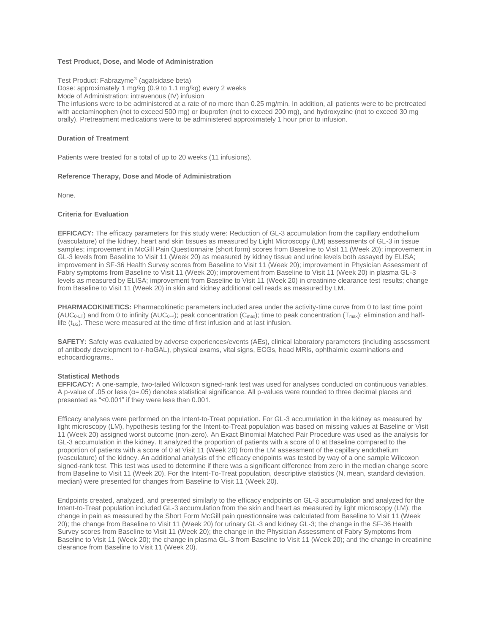# **Test Product, Dose, and Mode of Administration**

Test Product: Fabrazyme® (agalsidase beta) Dose: approximately 1 mg/kg (0.9 to 1.1 mg/kg) every 2 weeks Mode of Administration: intravenous (IV) infusion The infusions were to be administered at a rate of no more than 0.25 mg/min. In addition, all patients were to be pretreated with acetaminophen (not to exceed 500 mg) or ibuprofen (not to exceed 200 mg), and hydroxyzine (not to exceed 30 mg orally). Pretreatment medications were to be administered approximately 1 hour prior to infusion.

## **Duration of Treatment**

Patients were treated for a total of up to 20 weeks (11 infusions).

## **Reference Therapy, Dose and Mode of Administration**

None.

## **Criteria for Evaluation**

**EFFICACY:** The efficacy parameters for this study were: Reduction of GL-3 accumulation from the capillary endothelium (vasculature) of the kidney, heart and skin tissues as measured by Light Microscopy (LM) assessments of GL-3 in tissue samples; improvement in McGill Pain Questionnaire (short form) scores from Baseline to Visit 11 (Week 20); improvement in GL-3 levels from Baseline to Visit 11 (Week 20) as measured by kidney tissue and urine levels both assayed by ELISA; improvement in SF-36 Health Survey scores from Baseline to Visit 11 (Week 20); improvement in Physician Assessment of Fabry symptoms from Baseline to Visit 11 (Week 20); improvement from Baseline to Visit 11 (Week 20) in plasma GL-3 levels as measured by ELISA; improvement from Baseline to Visit 11 (Week 20) in creatinine clearance test results; change from Baseline to Visit 11 (Week 20) in skin and kidney additional cell reads as measured by LM.

**PHARMACOKINETICS:** Pharmacokinetic parameters included area under the activity-time curve from 0 to last time point (AUC<sub>0-LT</sub>) and from 0 to infinity (AUC<sub>0</sub>.<sub>∞</sub>); peak concentration (C<sub>max</sub>); time to peak concentration (T<sub>max</sub>); elimination and halflife  $(t_{1/2})$ . These were measured at the time of first infusion and at last infusion.

**SAFETY:** Safety was evaluated by adverse experiences/events (AEs), clinical laboratory parameters (including assessment of antibody development to r-hαGAL), physical exams, vital signs, ECGs, head MRIs, ophthalmic examinations and echocardiograms..

#### **Statistical Methods**

**EFFICACY:** A one-sample, two-tailed Wilcoxon signed-rank test was used for analyses conducted on continuous variables. A p-value of .05 or less (α=.05) denotes statistical significance. All p-values were rounded to three decimal places and presented as "<0.001" if they were less than 0.001.

Efficacy analyses were performed on the Intent-to-Treat population. For GL-3 accumulation in the kidney as measured by light microscopy (LM), hypothesis testing for the Intent-to-Treat population was based on missing values at Baseline or Visit 11 (Week 20) assigned worst outcome (non-zero). An Exact Binomial Matched Pair Procedure was used as the analysis for GL-3 accumulation in the kidney. It analyzed the proportion of patients with a score of 0 at Baseline compared to the proportion of patients with a score of 0 at Visit 11 (Week 20) from the LM assessment of the capillary endothelium (vasculature) of the kidney. An additional analysis of the efficacy endpoints was tested by way of a one sample Wilcoxon signed-rank test. This test was used to determine if there was a significant difference from zero in the median change score from Baseline to Visit 11 (Week 20). For the Intent-To-Treat population, descriptive statistics (N, mean, standard deviation, median) were presented for changes from Baseline to Visit 11 (Week 20).

Endpoints created, analyzed, and presented similarly to the efficacy endpoints on GL-3 accumulation and analyzed for the Intent-to-Treat population included GL-3 accumulation from the skin and heart as measured by light microscopy (LM); the change in pain as measured by the Short Form McGill pain questionnaire was calculated from Baseline to Visit 11 (Week 20); the change from Baseline to Visit 11 (Week 20) for urinary GL-3 and kidney GL-3; the change in the SF-36 Health Survey scores from Baseline to Visit 11 (Week 20); the change in the Physician Assessment of Fabry Symptoms from Baseline to Visit 11 (Week 20); the change in plasma GL-3 from Baseline to Visit 11 (Week 20); and the change in creatinine clearance from Baseline to Visit 11 (Week 20).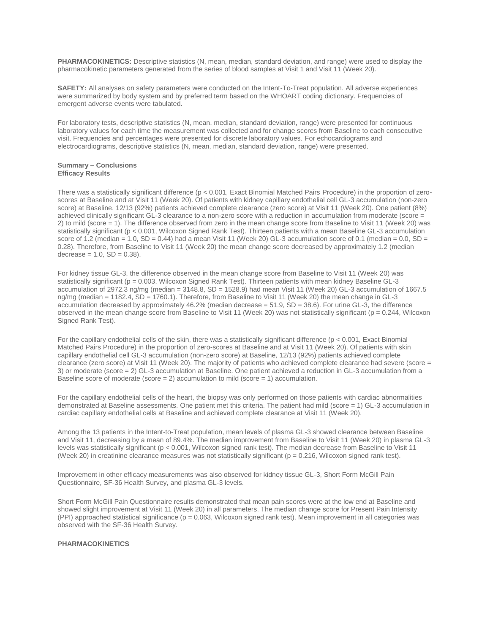**PHARMACOKINETICS:** Descriptive statistics (N, mean, median, standard deviation, and range) were used to display the pharmacokinetic parameters generated from the series of blood samples at Visit 1 and Visit 11 (Week 20).

**SAFETY:** All analyses on safety parameters were conducted on the Intent-To-Treat population. All adverse experiences were summarized by body system and by preferred term based on the WHOART coding dictionary. Frequencies of emergent adverse events were tabulated.

For laboratory tests, descriptive statistics (N, mean, median, standard deviation, range) were presented for continuous laboratory values for each time the measurement was collected and for change scores from Baseline to each consecutive visit. Frequencies and percentages were presented for discrete laboratory values. For echocardiograms and electrocardiograms, descriptive statistics (N, mean, median, standard deviation, range) were presented.

#### **Summary – Conclusions Efficacy Results**

There was a statistically significant difference (p < 0.001, Exact Binomial Matched Pairs Procedure) in the proportion of zeroscores at Baseline and at Visit 11 (Week 20). Of patients with kidney capillary endothelial cell GL-3 accumulation (non-zero score) at Baseline, 12/13 (92%) patients achieved complete clearance (zero score) at Visit 11 (Week 20). One patient (8%) achieved clinically significant GL-3 clearance to a non-zero score with a reduction in accumulation from moderate (score = 2) to mild (score = 1). The difference observed from zero in the mean change score from Baseline to Visit 11 (Week 20) was statistically significant (p < 0.001, Wilcoxon Signed Rank Test). Thirteen patients with a mean Baseline GL-3 accumulation score of 1.2 (median = 1.0,  $SD = 0.44$ ) had a mean Visit 11 (Week 20) GL-3 accumulation score of 0.1 (median = 0.0,  $SD =$ 0.28). Therefore, from Baseline to Visit 11 (Week 20) the mean change score decreased by approximately 1.2 (median  $decrease = 1.0, SD = 0.38$ ).

For kidney tissue GL-3, the difference observed in the mean change score from Baseline to Visit 11 (Week 20) was statistically significant (p = 0.003, Wilcoxon Signed Rank Test). Thirteen patients with mean kidney Baseline GL-3 accumulation of 2972.3 ng/mg (median = 3148.8, SD = 1528.9) had mean Visit 11 (Week 20) GL-3 accumulation of 1667.5 ng/mg (median = 1182.4, SD = 1760.1). Therefore, from Baseline to Visit 11 (Week 20) the mean change in GL-3 accumulation decreased by approximately 46.2% (median decrease  $= 51.9$ , SD  $= 38.6$ ). For urine GL-3, the difference observed in the mean change score from Baseline to Visit 11 (Week 20) was not statistically significant (p = 0.244, Wilcoxon Signed Rank Test).

For the capillary endothelial cells of the skin, there was a statistically significant difference (p < 0.001, Exact Binomial Matched Pairs Procedure) in the proportion of zero-scores at Baseline and at Visit 11 (Week 20). Of patients with skin capillary endothelial cell GL-3 accumulation (non-zero score) at Baseline, 12/13 (92%) patients achieved complete clearance (zero score) at Visit 11 (Week 20). The majority of patients who achieved complete clearance had severe (score = 3) or moderate (score = 2) GL-3 accumulation at Baseline. One patient achieved a reduction in GL-3 accumulation from a Baseline score of moderate (score  $= 2$ ) accumulation to mild (score  $= 1$ ) accumulation.

For the capillary endothelial cells of the heart, the biopsy was only performed on those patients with cardiac abnormalities demonstrated at Baseline assessments. One patient met this criteria. The patient had mild (score = 1) GL-3 accumulation in cardiac capillary endothelial cells at Baseline and achieved complete clearance at Visit 11 (Week 20).

Among the 13 patients in the Intent-to-Treat population, mean levels of plasma GL-3 showed clearance between Baseline and Visit 11, decreasing by a mean of 89.4%. The median improvement from Baseline to Visit 11 (Week 20) in plasma GL-3 levels was statistically significant (p < 0.001, Wilcoxon signed rank test). The median decrease from Baseline to Visit 11 (Week 20) in creatinine clearance measures was not statistically significant ( $p = 0.216$ , Wilcoxon signed rank test).

Improvement in other efficacy measurements was also observed for kidney tissue GL-3, Short Form McGill Pain Questionnaire, SF-36 Health Survey, and plasma GL-3 levels.

Short Form McGill Pain Questionnaire results demonstrated that mean pain scores were at the low end at Baseline and showed slight improvement at Visit 11 (Week 20) in all parameters. The median change score for Present Pain Intensity (PPI) approached statistical significance ( $p = 0.063$ , Wilcoxon signed rank test). Mean improvement in all categories was observed with the SF-36 Health Survey.

# **PHARMACOKINETICS**